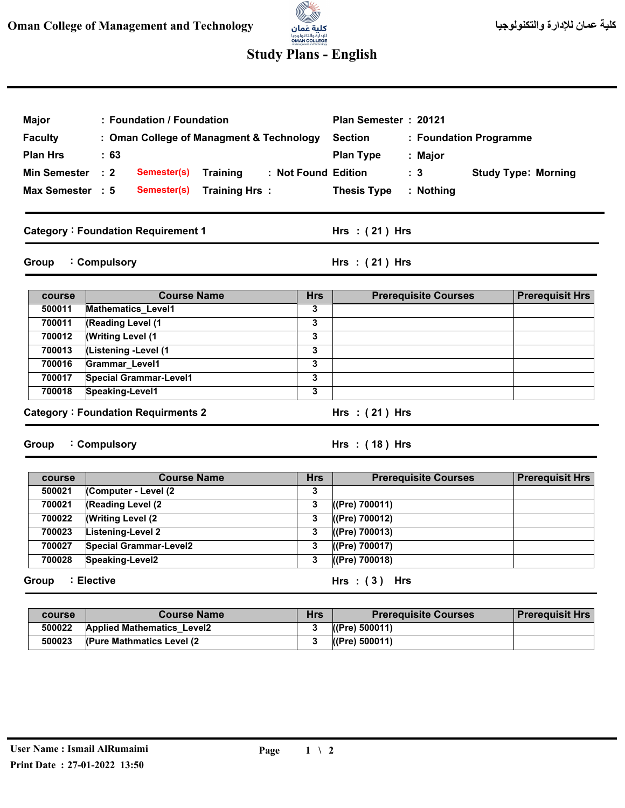## (C)

## **Study Plans - English**

| Major                                                        | : Foundation / Foundation                               |                         | Plan Semester: 20121                         |                            |  |  |  |
|--------------------------------------------------------------|---------------------------------------------------------|-------------------------|----------------------------------------------|----------------------------|--|--|--|
| <b>Faculty</b>                                               | : Oman College of Managment & Technology                |                         | <b>Section</b><br>: Foundation Programme     |                            |  |  |  |
|                                                              |                                                         |                         |                                              |                            |  |  |  |
| <b>Plan Hrs</b>                                              | : 63                                                    |                         | <b>Plan Type</b><br>: Major                  |                            |  |  |  |
| <b>Min Semester</b>                                          | $\therefore$ 2<br>Semester(s)<br><b>Training</b>        |                         | : Not Found Edition<br>$\therefore$ 3        | <b>Study Type: Morning</b> |  |  |  |
| Max Semester : 5                                             | <b>Training Hrs:</b><br>Semester(s)                     |                         | <b>Thesis Type</b><br>: Nothing              |                            |  |  |  |
| <b>Category: Foundation Requirement 1</b>                    |                                                         |                         | Hrs: $(21)$ Hrs                              |                            |  |  |  |
| : Compulsory<br>Hrs $:(21)$ Hrs<br>Group                     |                                                         |                         |                                              |                            |  |  |  |
| course                                                       | <b>Course Name</b>                                      | <b>Hrs</b>              | <b>Prerequisite Courses</b>                  | <b>Prerequisit Hrs</b>     |  |  |  |
| 500011                                                       | <b>Mathematics Level1</b>                               | 3                       |                                              |                            |  |  |  |
| 700011                                                       | (Reading Level (1                                       | 3                       |                                              |                            |  |  |  |
| 700012                                                       | <b>Writing Level (1)</b>                                | 3                       |                                              |                            |  |  |  |
| 700013                                                       | (Listening -Level (1                                    | 3                       |                                              |                            |  |  |  |
| 700016                                                       | Grammar_Level1                                          | 3                       |                                              |                            |  |  |  |
| 700017                                                       | <b>Special Grammar-Level1</b>                           | 3                       |                                              |                            |  |  |  |
| 700018                                                       | Speaking-Level1                                         | 3                       |                                              |                            |  |  |  |
| <b>Category: Foundation Requirments 2</b><br>Hrs: $(21)$ Hrs |                                                         |                         |                                              |                            |  |  |  |
| : Compulsory<br>Hrs: (18) Hrs<br>Group                       |                                                         |                         |                                              |                            |  |  |  |
| course                                                       | <b>Course Name</b>                                      | <b>Hrs</b>              | <b>Prerequisite Courses</b>                  | <b>Prerequisit Hrs</b>     |  |  |  |
| 500021                                                       | (Computer - Level (2)                                   | 3                       |                                              |                            |  |  |  |
| 700021                                                       | (Reading Level (2)                                      | 3                       | $($ (Pre) 700011)                            |                            |  |  |  |
| 700022                                                       | <b>Writing Level (2)</b>                                | 3                       | ((Pre) 700012)                               |                            |  |  |  |
| 700023                                                       | <b>Listening-Level 2</b>                                | 3                       | ((Pre) 700013)                               |                            |  |  |  |
| 700027                                                       | <b>Special Grammar-Level2</b>                           | 3                       | ((Pre) 700017)                               |                            |  |  |  |
| 700028                                                       | Speaking-Level2                                         | $\overline{\mathbf{3}}$ | $($ (Pre) 700018)                            |                            |  |  |  |
| : Elective<br>Hrs: $(3)$ Hrs<br>Group                        |                                                         |                         |                                              |                            |  |  |  |
|                                                              |                                                         |                         |                                              |                            |  |  |  |
| course<br>500022                                             | <b>Course Name</b><br><b>Applied Mathematics_Level2</b> | <b>Hrs</b><br>3         | <b>Prerequisite Courses</b><br>(CPre) 500011 | <b>Prerequisit Hrs</b>     |  |  |  |
| 500023                                                       | (Pure Mathmatics Level (2                               | 3                       | (CPre) 500011                                |                            |  |  |  |
|                                                              |                                                         |                         |                                              |                            |  |  |  |